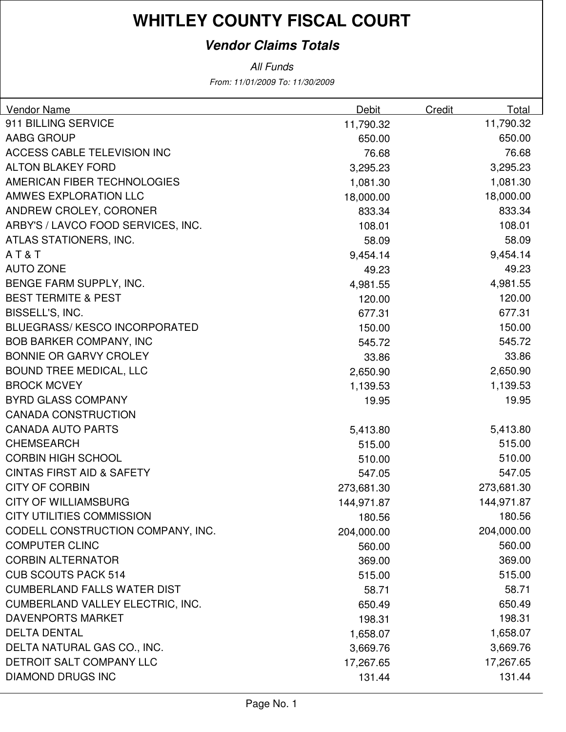### **Vendor Claims Totals**

| <b>Vendor Name</b>                      | Debit      | Credit | Total      |
|-----------------------------------------|------------|--------|------------|
| 911 BILLING SERVICE                     | 11,790.32  |        | 11,790.32  |
| AABG GROUP                              | 650.00     |        | 650.00     |
| ACCESS CABLE TELEVISION INC             | 76.68      |        | 76.68      |
| <b>ALTON BLAKEY FORD</b>                | 3,295.23   |        | 3,295.23   |
| AMERICAN FIBER TECHNOLOGIES             | 1,081.30   |        | 1,081.30   |
| AMWES EXPLORATION LLC                   | 18,000.00  |        | 18,000.00  |
| ANDREW CROLEY, CORONER                  | 833.34     |        | 833.34     |
| ARBY'S / LAVCO FOOD SERVICES, INC.      | 108.01     |        | 108.01     |
| ATLAS STATIONERS, INC.                  | 58.09      |        | 58.09      |
| AT&T                                    | 9,454.14   |        | 9,454.14   |
| <b>AUTO ZONE</b>                        | 49.23      |        | 49.23      |
| BENGE FARM SUPPLY, INC.                 | 4,981.55   |        | 4,981.55   |
| <b>BEST TERMITE &amp; PEST</b>          | 120.00     |        | 120.00     |
| BISSELL'S, INC.                         | 677.31     |        | 677.31     |
| <b>BLUEGRASS/ KESCO INCORPORATED</b>    | 150.00     |        | 150.00     |
| <b>BOB BARKER COMPANY, INC</b>          | 545.72     |        | 545.72     |
| <b>BONNIE OR GARVY CROLEY</b>           | 33.86      |        | 33.86      |
| <b>BOUND TREE MEDICAL, LLC</b>          | 2,650.90   |        | 2,650.90   |
| <b>BROCK MCVEY</b>                      | 1,139.53   |        | 1,139.53   |
| <b>BYRD GLASS COMPANY</b>               | 19.95      |        | 19.95      |
| <b>CANADA CONSTRUCTION</b>              |            |        |            |
| <b>CANADA AUTO PARTS</b>                | 5,413.80   |        | 5,413.80   |
| <b>CHEMSEARCH</b>                       | 515.00     |        | 515.00     |
| <b>CORBIN HIGH SCHOOL</b>               | 510.00     |        | 510.00     |
| <b>CINTAS FIRST AID &amp; SAFETY</b>    | 547.05     |        | 547.05     |
| <b>CITY OF CORBIN</b>                   | 273,681.30 |        | 273,681.30 |
| <b>CITY OF WILLIAMSBURG</b>             | 144,971.87 |        | 144,971.87 |
| CITY UTILITIES COMMISSION               | 180.56     |        | 180.56     |
| CODELL CONSTRUCTION COMPANY, INC.       | 204,000.00 |        | 204,000.00 |
| <b>COMPUTER CLINC</b>                   | 560.00     |        | 560.00     |
| <b>CORBIN ALTERNATOR</b>                | 369.00     |        | 369.00     |
| <b>CUB SCOUTS PACK 514</b>              | 515.00     |        | 515.00     |
| <b>CUMBERLAND FALLS WATER DIST</b>      | 58.71      |        | 58.71      |
| <b>CUMBERLAND VALLEY ELECTRIC, INC.</b> | 650.49     |        | 650.49     |
| <b>DAVENPORTS MARKET</b>                | 198.31     |        | 198.31     |
| <b>DELTA DENTAL</b>                     | 1,658.07   |        | 1,658.07   |
| DELTA NATURAL GAS CO., INC.             | 3,669.76   |        | 3,669.76   |
| DETROIT SALT COMPANY LLC                | 17,267.65  |        | 17,267.65  |
| <b>DIAMOND DRUGS INC</b>                | 131.44     |        | 131.44     |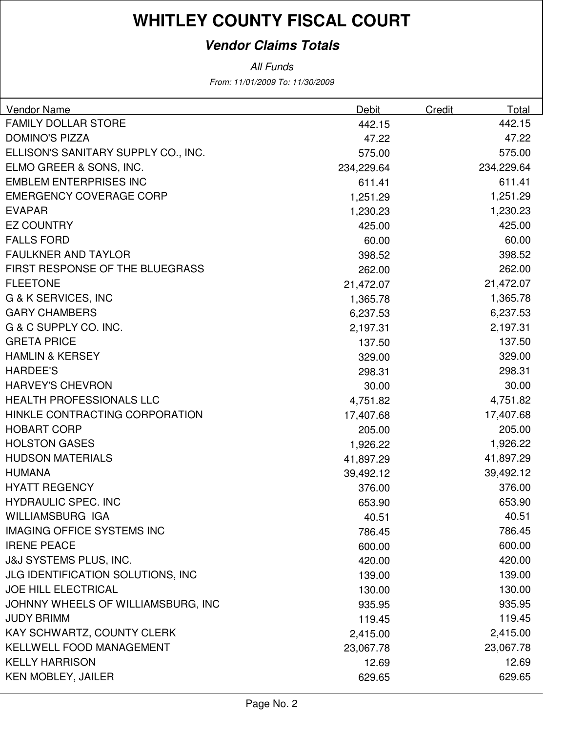### **Vendor Claims Totals**

| <b>Vendor Name</b>                       | <b>Debit</b> | Credit | Total      |
|------------------------------------------|--------------|--------|------------|
| <b>FAMILY DOLLAR STORE</b>               | 442.15       |        | 442.15     |
| <b>DOMINO'S PIZZA</b>                    | 47.22        |        | 47.22      |
| ELLISON'S SANITARY SUPPLY CO., INC.      | 575.00       |        | 575.00     |
| ELMO GREER & SONS, INC.                  | 234,229.64   |        | 234,229.64 |
| <b>EMBLEM ENTERPRISES INC</b>            | 611.41       |        | 611.41     |
| <b>EMERGENCY COVERAGE CORP</b>           | 1,251.29     |        | 1,251.29   |
| <b>EVAPAR</b>                            | 1,230.23     |        | 1,230.23   |
| <b>EZ COUNTRY</b>                        | 425.00       |        | 425.00     |
| <b>FALLS FORD</b>                        | 60.00        |        | 60.00      |
| <b>FAULKNER AND TAYLOR</b>               | 398.52       |        | 398.52     |
| FIRST RESPONSE OF THE BLUEGRASS          | 262.00       |        | 262.00     |
| <b>FLEETONE</b>                          | 21,472.07    |        | 21,472.07  |
| G & K SERVICES, INC                      | 1,365.78     |        | 1,365.78   |
| <b>GARY CHAMBERS</b>                     | 6,237.53     |        | 6,237.53   |
| G & C SUPPLY CO. INC.                    | 2,197.31     |        | 2,197.31   |
| <b>GRETA PRICE</b>                       | 137.50       |        | 137.50     |
| <b>HAMLIN &amp; KERSEY</b>               | 329.00       |        | 329.00     |
| <b>HARDEE'S</b>                          | 298.31       |        | 298.31     |
| <b>HARVEY'S CHEVRON</b>                  | 30.00        |        | 30.00      |
| <b>HEALTH PROFESSIONALS LLC</b>          | 4,751.82     |        | 4,751.82   |
| HINKLE CONTRACTING CORPORATION           | 17,407.68    |        | 17,407.68  |
| <b>HOBART CORP</b>                       | 205.00       |        | 205.00     |
| <b>HOLSTON GASES</b>                     | 1,926.22     |        | 1,926.22   |
| <b>HUDSON MATERIALS</b>                  | 41,897.29    |        | 41,897.29  |
| <b>HUMANA</b>                            | 39,492.12    |        | 39,492.12  |
| <b>HYATT REGENCY</b>                     | 376.00       |        | 376.00     |
| <b>HYDRAULIC SPEC. INC</b>               | 653.90       |        | 653.90     |
| <b>WILLIAMSBURG IGA</b>                  | 40.51        |        | 40.51      |
| <b>IMAGING OFFICE SYSTEMS INC</b>        | 786.45       |        | 786.45     |
| <b>IRENE PEACE</b>                       | 600.00       |        | 600.00     |
| <b>J&amp;J SYSTEMS PLUS, INC.</b>        | 420.00       |        | 420.00     |
| <b>JLG IDENTIFICATION SOLUTIONS, INC</b> | 139.00       |        | 139.00     |
| <b>JOE HILL ELECTRICAL</b>               | 130.00       |        | 130.00     |
| JOHNNY WHEELS OF WILLIAMSBURG, INC       | 935.95       |        | 935.95     |
| <b>JUDY BRIMM</b>                        | 119.45       |        | 119.45     |
| KAY SCHWARTZ, COUNTY CLERK               | 2,415.00     |        | 2,415.00   |
| <b>KELLWELL FOOD MANAGEMENT</b>          | 23,067.78    |        | 23,067.78  |
| <b>KELLY HARRISON</b>                    | 12.69        |        | 12.69      |
| <b>KEN MOBLEY, JAILER</b>                | 629.65       |        | 629.65     |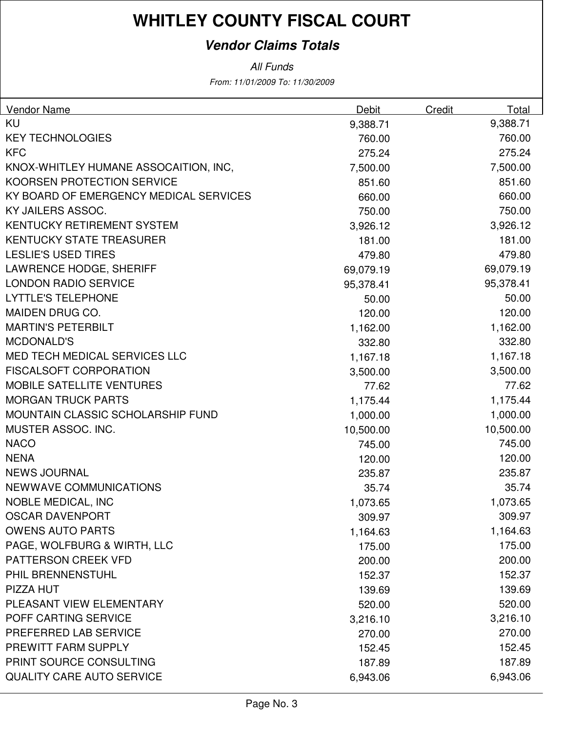### **Vendor Claims Totals**

| <b>Vendor Name</b>                       | Debit     | Credit | Total     |
|------------------------------------------|-----------|--------|-----------|
| KU                                       | 9,388.71  |        | 9,388.71  |
| <b>KEY TECHNOLOGIES</b>                  | 760.00    |        | 760.00    |
| <b>KFC</b>                               | 275.24    |        | 275.24    |
| KNOX-WHITLEY HUMANE ASSOCAITION, INC,    | 7,500.00  |        | 7,500.00  |
| <b>KOORSEN PROTECTION SERVICE</b>        | 851.60    |        | 851.60    |
| KY BOARD OF EMERGENCY MEDICAL SERVICES   | 660.00    |        | 660.00    |
| KY JAILERS ASSOC.                        | 750.00    |        | 750.00    |
| <b>KENTUCKY RETIREMENT SYSTEM</b>        | 3,926.12  |        | 3,926.12  |
| <b>KENTUCKY STATE TREASURER</b>          | 181.00    |        | 181.00    |
| <b>LESLIE'S USED TIRES</b>               | 479.80    |        | 479.80    |
| <b>LAWRENCE HODGE, SHERIFF</b>           | 69,079.19 |        | 69,079.19 |
| <b>LONDON RADIO SERVICE</b>              | 95,378.41 |        | 95,378.41 |
| <b>LYTTLE'S TELEPHONE</b>                | 50.00     |        | 50.00     |
| MAIDEN DRUG CO.                          | 120.00    |        | 120.00    |
| <b>MARTIN'S PETERBILT</b>                | 1,162.00  |        | 1,162.00  |
| <b>MCDONALD'S</b>                        | 332.80    |        | 332.80    |
| <b>MED TECH MEDICAL SERVICES LLC</b>     | 1,167.18  |        | 1,167.18  |
| <b>FISCALSOFT CORPORATION</b>            | 3,500.00  |        | 3,500.00  |
| <b>MOBILE SATELLITE VENTURES</b>         | 77.62     |        | 77.62     |
| <b>MORGAN TRUCK PARTS</b>                | 1,175.44  |        | 1,175.44  |
| <b>MOUNTAIN CLASSIC SCHOLARSHIP FUND</b> | 1,000.00  |        | 1,000.00  |
| MUSTER ASSOC. INC.                       | 10,500.00 |        | 10,500.00 |
| <b>NACO</b>                              | 745.00    |        | 745.00    |
| <b>NENA</b>                              | 120.00    |        | 120.00    |
| <b>NEWS JOURNAL</b>                      | 235.87    |        | 235.87    |
| NEWWAVE COMMUNICATIONS                   | 35.74     |        | 35.74     |
| <b>NOBLE MEDICAL, INC</b>                | 1,073.65  |        | 1,073.65  |
| <b>OSCAR DAVENPORT</b>                   | 309.97    |        | 309.97    |
| <b>OWENS AUTO PARTS</b>                  | 1,164.63  |        | 1,164.63  |
| PAGE, WOLFBURG & WIRTH, LLC              | 175.00    |        | 175.00    |
| PATTERSON CREEK VFD                      | 200.00    |        | 200.00    |
| PHIL BRENNENSTUHL                        | 152.37    |        | 152.37    |
| PIZZA HUT                                | 139.69    |        | 139.69    |
| PLEASANT VIEW ELEMENTARY                 | 520.00    |        | 520.00    |
| POFF CARTING SERVICE                     | 3,216.10  |        | 3,216.10  |
| PREFERRED LAB SERVICE                    | 270.00    |        | 270.00    |
| PREWITT FARM SUPPLY                      | 152.45    |        | 152.45    |
| PRINT SOURCE CONSULTING                  | 187.89    |        | 187.89    |
| <b>QUALITY CARE AUTO SERVICE</b>         | 6,943.06  |        | 6,943.06  |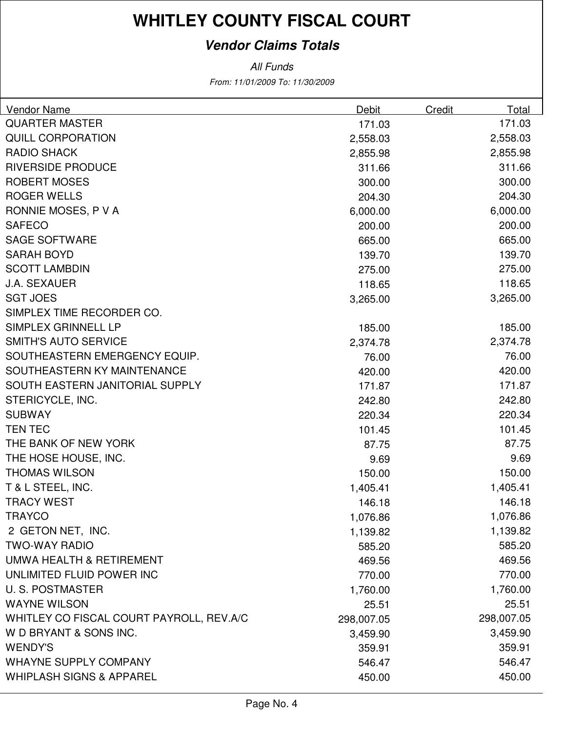### **Vendor Claims Totals**

| Vendor Name                              | Debit      | Credit | Total      |
|------------------------------------------|------------|--------|------------|
| <b>QUARTER MASTER</b>                    | 171.03     |        | 171.03     |
| <b>QUILL CORPORATION</b>                 | 2,558.03   |        | 2,558.03   |
| <b>RADIO SHACK</b>                       | 2,855.98   |        | 2,855.98   |
| <b>RIVERSIDE PRODUCE</b>                 | 311.66     |        | 311.66     |
| <b>ROBERT MOSES</b>                      | 300.00     |        | 300.00     |
| <b>ROGER WELLS</b>                       | 204.30     |        | 204.30     |
| RONNIE MOSES, P V A                      | 6,000.00   |        | 6,000.00   |
| <b>SAFECO</b>                            | 200.00     |        | 200.00     |
| <b>SAGE SOFTWARE</b>                     | 665.00     |        | 665.00     |
| <b>SARAH BOYD</b>                        | 139.70     |        | 139.70     |
| <b>SCOTT LAMBDIN</b>                     | 275.00     |        | 275.00     |
| <b>J.A. SEXAUER</b>                      | 118.65     |        | 118.65     |
| <b>SGT JOES</b>                          | 3,265.00   |        | 3,265.00   |
| SIMPLEX TIME RECORDER CO.                |            |        |            |
| SIMPLEX GRINNELL LP                      | 185.00     |        | 185.00     |
| <b>SMITH'S AUTO SERVICE</b>              | 2,374.78   |        | 2,374.78   |
| SOUTHEASTERN EMERGENCY EQUIP.            | 76.00      |        | 76.00      |
| SOUTHEASTERN KY MAINTENANCE              | 420.00     |        | 420.00     |
| SOUTH EASTERN JANITORIAL SUPPLY          | 171.87     |        | 171.87     |
| STERICYCLE, INC.                         | 242.80     |        | 242.80     |
| <b>SUBWAY</b>                            | 220.34     |        | 220.34     |
| <b>TEN TEC</b>                           | 101.45     |        | 101.45     |
| THE BANK OF NEW YORK                     | 87.75      |        | 87.75      |
| THE HOSE HOUSE, INC.                     | 9.69       |        | 9.69       |
| <b>THOMAS WILSON</b>                     | 150.00     |        | 150.00     |
| T & L STEEL, INC.                        | 1,405.41   |        | 1,405.41   |
| <b>TRACY WEST</b>                        | 146.18     |        | 146.18     |
| <b>TRAYCO</b>                            | 1,076.86   |        | 1,076.86   |
| 2 GETON NET, INC.                        | 1,139.82   |        | 1,139.82   |
| <b>TWO-WAY RADIO</b>                     | 585.20     |        | 585.20     |
| UMWA HEALTH & RETIREMENT                 | 469.56     |        | 469.56     |
| UNLIMITED FLUID POWER INC                | 770.00     |        | 770.00     |
| <b>U.S. POSTMASTER</b>                   | 1,760.00   |        | 1,760.00   |
| <b>WAYNE WILSON</b>                      | 25.51      |        | 25.51      |
| WHITLEY CO FISCAL COURT PAYROLL, REV.A/C | 298,007.05 |        | 298,007.05 |
| W D BRYANT & SONS INC.                   | 3,459.90   |        | 3,459.90   |
| <b>WENDY'S</b>                           | 359.91     |        | 359.91     |
| <b>WHAYNE SUPPLY COMPANY</b>             | 546.47     |        | 546.47     |
| <b>WHIPLASH SIGNS &amp; APPAREL</b>      | 450.00     |        | 450.00     |